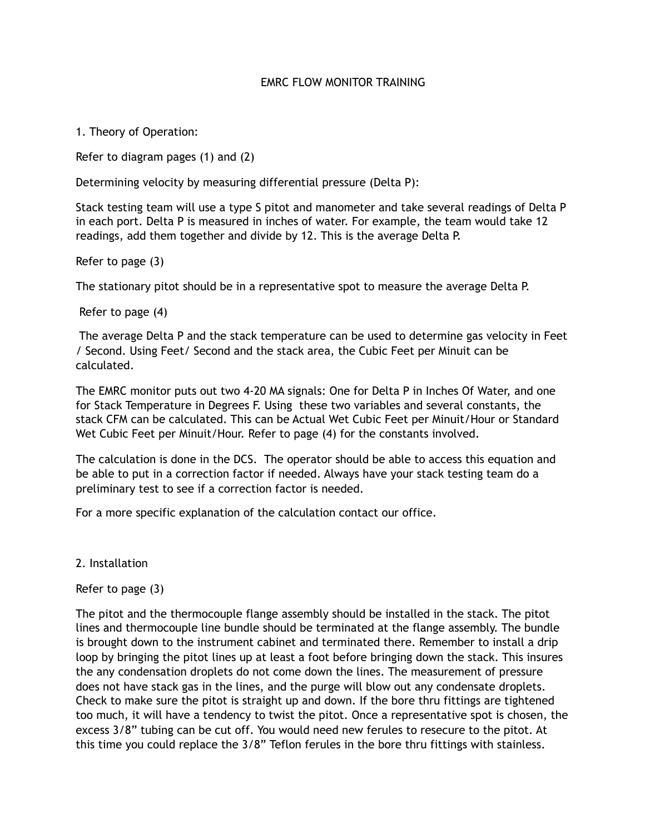## **EMRC FLOW MONITOR TRAINING**

1. Theory of Operation:

Refer to diagram pages (1) and (2)

Determining velocity by measuring differential pressure (Delta P):

Stack testing team will use a type S pitot and manometer and take several readings of Delta P in each port. Delta P is measured in inches of water. For example, the team would take 12 readings, add them together and divide by 12. This is the average Delta P.

Refer to page (3)

The stationary pitot should be in a representative spot to measure the average Delta P.

Refer to page (4)

 The average Delta P and the stack temperature can be used to determine gas velocity in Feet / Second. Using Feet/ Second and the stack area, the Cubic Feet per Minuit can be calculated.

The EMRC monitor puts out two 4-20 MA signals: One for Delta P in Inches Of Water, and one for Stack Temperature in Degrees F. Using these two variables and several constants, the stack CFM can be calculated. This can be Actual Wet Cubic Feet per Minuit/Hour or Standard Wet Cubic Feet per Minuit/Hour. Refer to page (4) for the constants involved.

The calculation is done in the DCS. The operator should be able to access this equation and be able to put in a correction factor if needed. Always have your stack testing team do a preliminary test to see if a correction factor is needed.

For a more specific explanation of the calculation contact our office.

2. Installation

Refer to page (3)

The pitot and the thermocouple flange assembly should be installed in the stack. The pitot lines and thermocouple line bundle should be terminated at the flange assembly. The bundle is brought down to the instrument cabinet and terminated there. Remember to install a drip loop by bringing the pitot lines up at least a foot before bringing down the stack. This insures the any condensation droplets do not come down the lines. The measurement of pressure does not have stack gas in the lines, and the purge will blow out any condensate droplets. Check to make sure the pitot is straight up and down. If the bore thru fittings are tightened too much, it will have a tendency to twist the pitot. Once a representative spot is chosen, the excess 3/8" tubing can be cut off. You would need new ferules to resecure to the pitot. At this time you could replace the 3/8" Teflon ferules in the bore thru fittings with stainless.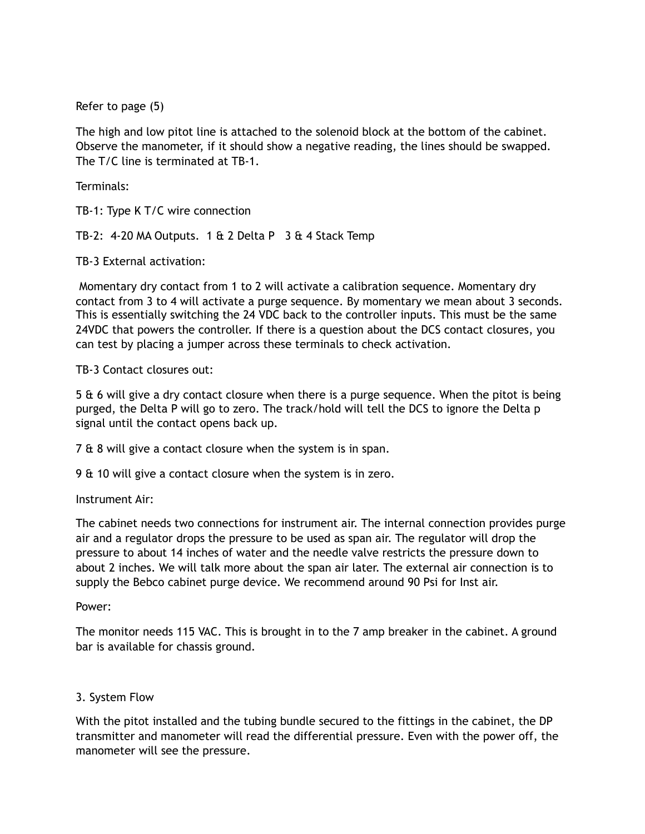Refer to page (5)

The high and low pitot line is attached to the solenoid block at the bottom of the cabinet. Observe the manometer, if it should show a negative reading, the lines should be swapped. The T/C line is terminated at TB-1.

Terminals:

TB-1: Type K T/C wire connection

TB-2: 4-20 MA Outputs. 1 & 2 Delta P 3 & 4 Stack Temp

TB-3 External activation:

 Momentary dry contact from 1 to 2 will activate a calibration sequence. Momentary dry contact from 3 to 4 will activate a purge sequence. By momentary we mean about 3 seconds. This is essentially switching the 24 VDC back to the controller inputs. This must be the same 24VDC that powers the controller. If there is a question about the DCS contact closures, you can test by placing a jumper across these terminals to check activation.

TB-3 Contact closures out:

5 & 6 will give a dry contact closure when there is a purge sequence. When the pitot is being purged, the Delta P will go to zero. The track/hold will tell the DCS to ignore the Delta p signal until the contact opens back up.

7 & 8 will give a contact closure when the system is in span.

9 & 10 will give a contact closure when the system is in zero.

Instrument Air:

The cabinet needs two connections for instrument air. The internal connection provides purge air and a regulator drops the pressure to be used as span air. The regulator will drop the pressure to about 14 inches of water and the needle valve restricts the pressure down to about 2 inches. We will talk more about the span air later. The external air connection is to supply the Bebco cabinet purge device. We recommend around 90 Psi for Inst air.

Power:

The monitor needs 115 VAC. This is brought in to the 7 amp breaker in the cabinet. A ground bar is available for chassis ground.

## 3. System Flow

With the pitot installed and the tubing bundle secured to the fittings in the cabinet, the DP transmitter and manometer will read the differential pressure. Even with the power off, the manometer will see the pressure.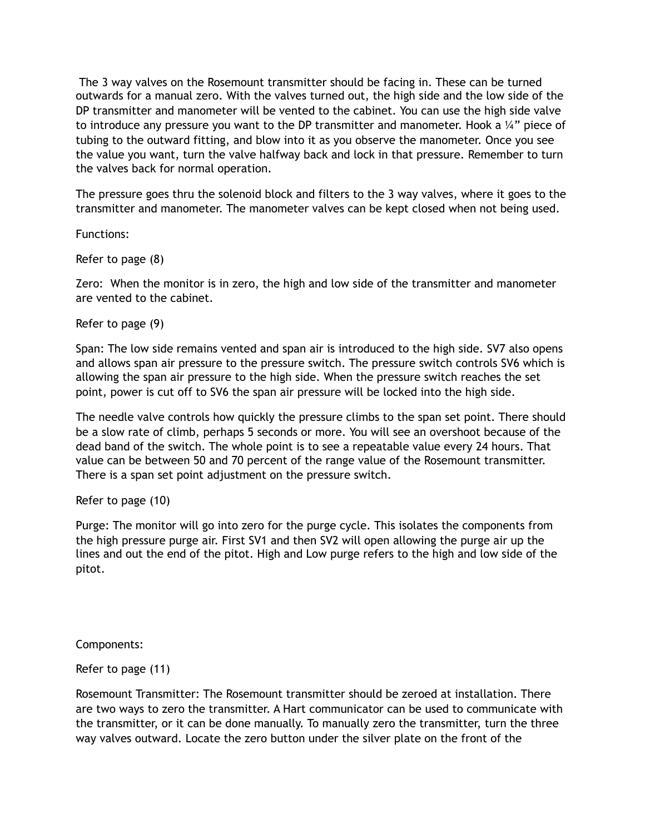The 3 way valves on the Rosemount transmitter should be facing in. These can be turned outwards for a manual zero. With the valves turned out, the high side and the low side of the DP transmitter and manometer will be vented to the cabinet. You can use the high side valve to introduce any pressure you want to the DP transmitter and manometer. Hook a ¼" piece of tubing to the outward fitting, and blow into it as you observe the manometer. Once you see the value you want, turn the valve halfway back and lock in that pressure. Remember to turn the valves back for normal operation.

The pressure goes thru the solenoid block and filters to the 3 way valves, where it goes to the transmitter and manometer. The manometer valves can be kept closed when not being used.

Functions:

Refer to page (8)

Zero: When the monitor is in zero, the high and low side of the transmitter and manometer are vented to the cabinet.

Refer to page (9)

Span: The low side remains vented and span air is introduced to the high side. SV7 also opens and allows span air pressure to the pressure switch. The pressure switch controls SV6 which is allowing the span air pressure to the high side. When the pressure switch reaches the set point, power is cut off to SV6 the span air pressure will be locked into the high side.

The needle valve controls how quickly the pressure climbs to the span set point. There should be a slow rate of climb, perhaps 5 seconds or more. You will see an overshoot because of the dead band of the switch. The whole point is to see a repeatable value every 24 hours. That value can be between 50 and 70 percent of the range value of the Rosemount transmitter. There is a span set point adjustment on the pressure switch.

Refer to page (10)

Purge: The monitor will go into zero for the purge cycle. This isolates the components from the high pressure purge air. First SV1 and then SV2 will open allowing the purge air up the lines and out the end of the pitot. High and Low purge refers to the high and low side of the pitot.

Components:

Refer to page (11)

Rosemount Transmitter: The Rosemount transmitter should be zeroed at installation. There are two ways to zero the transmitter. A Hart communicator can be used to communicate with the transmitter, or it can be done manually. To manually zero the transmitter, turn the three way valves outward. Locate the zero button under the silver plate on the front of the